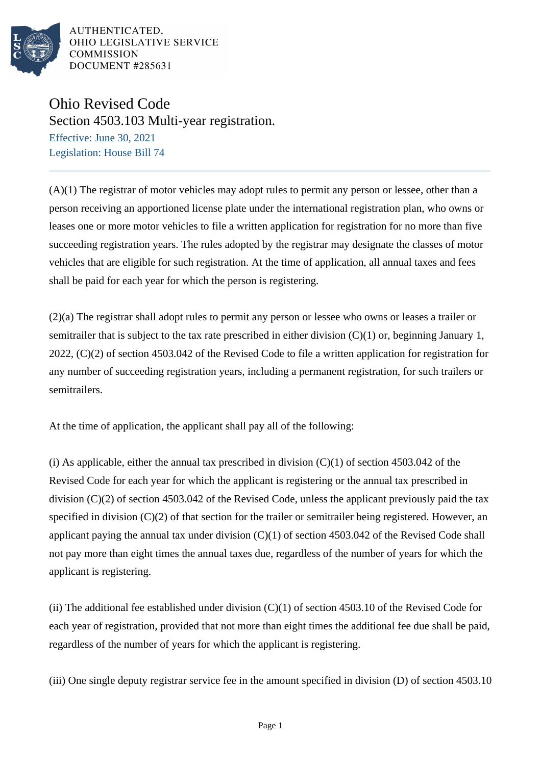

AUTHENTICATED. OHIO LEGISLATIVE SERVICE **COMMISSION** DOCUMENT #285631

## Ohio Revised Code Section 4503.103 Multi-year registration.

Effective: June 30, 2021 Legislation: House Bill 74

(A)(1) The registrar of motor vehicles may adopt rules to permit any person or lessee, other than a person receiving an apportioned license plate under the international registration plan, who owns or leases one or more motor vehicles to file a written application for registration for no more than five succeeding registration years. The rules adopted by the registrar may designate the classes of motor vehicles that are eligible for such registration. At the time of application, all annual taxes and fees shall be paid for each year for which the person is registering.

(2)(a) The registrar shall adopt rules to permit any person or lessee who owns or leases a trailer or semitrailer that is subject to the tax rate prescribed in either division  $(C)(1)$  or, beginning January 1, 2022, (C)(2) of section 4503.042 of the Revised Code to file a written application for registration for any number of succeeding registration years, including a permanent registration, for such trailers or semitrailers.

At the time of application, the applicant shall pay all of the following:

(i) As applicable, either the annual tax prescribed in division  $(C)(1)$  of section 4503.042 of the Revised Code for each year for which the applicant is registering or the annual tax prescribed in division (C)(2) of section 4503.042 of the Revised Code, unless the applicant previously paid the tax specified in division  $(C)(2)$  of that section for the trailer or semitrailer being registered. However, an applicant paying the annual tax under division  $(C)(1)$  of section 4503.042 of the Revised Code shall not pay more than eight times the annual taxes due, regardless of the number of years for which the applicant is registering.

(ii) The additional fee established under division  $(C)(1)$  of section 4503.10 of the Revised Code for each year of registration, provided that not more than eight times the additional fee due shall be paid, regardless of the number of years for which the applicant is registering.

(iii) One single deputy registrar service fee in the amount specified in division (D) of section 4503.10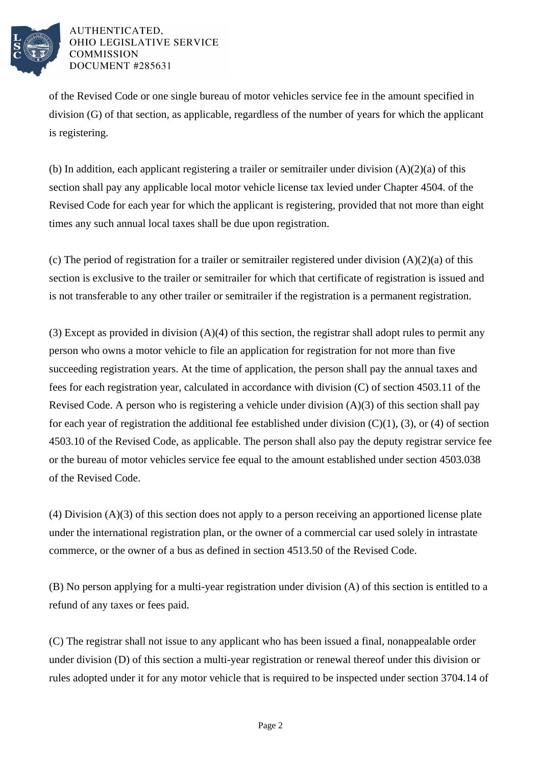

## AUTHENTICATED. OHIO LEGISLATIVE SERVICE **COMMISSION** DOCUMENT #285631

of the Revised Code or one single bureau of motor vehicles service fee in the amount specified in division (G) of that section, as applicable, regardless of the number of years for which the applicant is registering.

(b) In addition, each applicant registering a trailer or semitrailer under division (A)(2)(a) of this section shall pay any applicable local motor vehicle license tax levied under Chapter 4504. of the Revised Code for each year for which the applicant is registering, provided that not more than eight times any such annual local taxes shall be due upon registration.

(c) The period of registration for a trailer or semitrailer registered under division  $(A)(2)(a)$  of this section is exclusive to the trailer or semitrailer for which that certificate of registration is issued and is not transferable to any other trailer or semitrailer if the registration is a permanent registration.

(3) Except as provided in division (A)(4) of this section, the registrar shall adopt rules to permit any person who owns a motor vehicle to file an application for registration for not more than five succeeding registration years. At the time of application, the person shall pay the annual taxes and fees for each registration year, calculated in accordance with division (C) of section 4503.11 of the Revised Code. A person who is registering a vehicle under division (A)(3) of this section shall pay for each year of registration the additional fee established under division  $(C)(1)$ ,  $(3)$ , or  $(4)$  of section 4503.10 of the Revised Code, as applicable. The person shall also pay the deputy registrar service fee or the bureau of motor vehicles service fee equal to the amount established under section 4503.038 of the Revised Code.

(4) Division (A)(3) of this section does not apply to a person receiving an apportioned license plate under the international registration plan, or the owner of a commercial car used solely in intrastate commerce, or the owner of a bus as defined in section 4513.50 of the Revised Code.

(B) No person applying for a multi-year registration under division (A) of this section is entitled to a refund of any taxes or fees paid.

(C) The registrar shall not issue to any applicant who has been issued a final, nonappealable order under division (D) of this section a multi-year registration or renewal thereof under this division or rules adopted under it for any motor vehicle that is required to be inspected under section 3704.14 of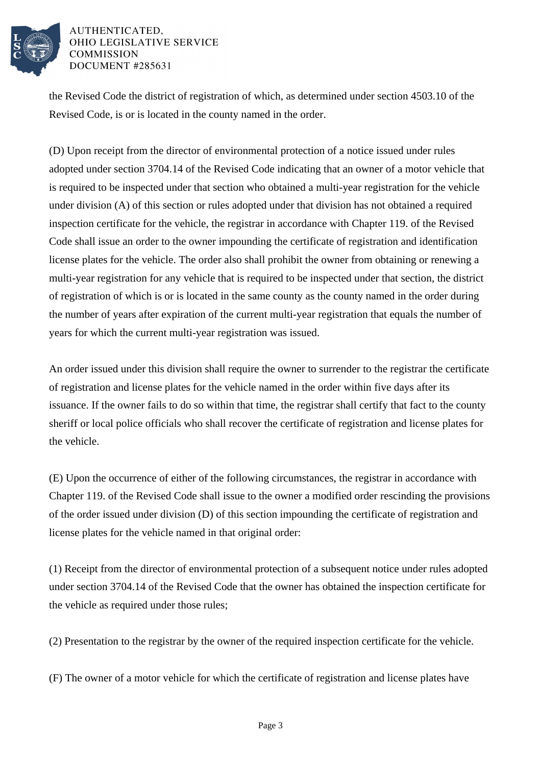

## AUTHENTICATED. OHIO LEGISLATIVE SERVICE **COMMISSION** DOCUMENT #285631

the Revised Code the district of registration of which, as determined under section 4503.10 of the Revised Code, is or is located in the county named in the order.

(D) Upon receipt from the director of environmental protection of a notice issued under rules adopted under section 3704.14 of the Revised Code indicating that an owner of a motor vehicle that is required to be inspected under that section who obtained a multi-year registration for the vehicle under division (A) of this section or rules adopted under that division has not obtained a required inspection certificate for the vehicle, the registrar in accordance with Chapter 119. of the Revised Code shall issue an order to the owner impounding the certificate of registration and identification license plates for the vehicle. The order also shall prohibit the owner from obtaining or renewing a multi-year registration for any vehicle that is required to be inspected under that section, the district of registration of which is or is located in the same county as the county named in the order during the number of years after expiration of the current multi-year registration that equals the number of years for which the current multi-year registration was issued.

An order issued under this division shall require the owner to surrender to the registrar the certificate of registration and license plates for the vehicle named in the order within five days after its issuance. If the owner fails to do so within that time, the registrar shall certify that fact to the county sheriff or local police officials who shall recover the certificate of registration and license plates for the vehicle.

(E) Upon the occurrence of either of the following circumstances, the registrar in accordance with Chapter 119. of the Revised Code shall issue to the owner a modified order rescinding the provisions of the order issued under division (D) of this section impounding the certificate of registration and license plates for the vehicle named in that original order:

(1) Receipt from the director of environmental protection of a subsequent notice under rules adopted under section 3704.14 of the Revised Code that the owner has obtained the inspection certificate for the vehicle as required under those rules;

(2) Presentation to the registrar by the owner of the required inspection certificate for the vehicle.

(F) The owner of a motor vehicle for which the certificate of registration and license plates have